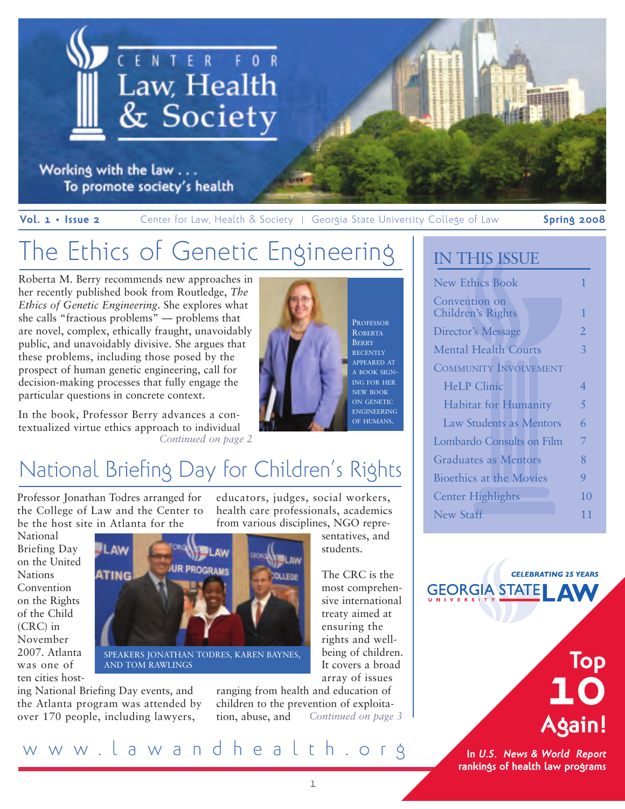

Working with the law . . . To promote society's health

**Vol. 1 • Issue 2** Center for Law, Health & Society | Georgia State University College of Law **Spring 2008**

## The Ethics of Genetic Engineering

Roberta M. Berry recommends new approaches in her recently published book from Routledge, *The Ethics of Genetic Engineering*. She explores what she calls "fractious problems" — problems that are novel, complex, ethically fraught, unavoidably public, and unavoidably divisive. She argues that these problems, including those posed by the prospect of human genetic engineering, call for decision-making processes that fully engage the particular questions in concrete context.

In the book, Professor Berry advances a contextualized virtue ethics approach to individual *Continued on page 2*



# A BOOK SIGN-ING FOR HER ENGINEERING

## National Briefing Day for Children's Rights

Professor Jonathan Todres arranged for the College of Law and the Center to be the host site in Atlanta for the

**LAW** 

ATING

the Atlanta program was attended by over 170 people, including lawyers,

AND TOM RAWLINGS

National Briefing Day on the United **Nations** Convention on the Rights of the Child (CRC) in November 2007. Atlanta was one of ten cities hosting National Briefing Day events, and

educators, judges, social workers, health care professionals, academics from various disciplines, NGO repre-

sentatives, and students.

The CRC is the most comprehensive international treaty aimed at ensuring the rights and wellbeing of children. It covers a broad array of issues

ranging from health and education of children to the prevention of exploitation, abuse, and *Continued on page 3*

### IN THIS ISSUE

| <b>New Ethics Book</b>             |                |
|------------------------------------|----------------|
| Convention on<br>Children's Rights | 1              |
| Director's Message                 | $\overline{2}$ |
| <b>Mental Health Courts</b>        | 3              |
| <b>COMMUNITY INVOLVEMENT</b>       |                |
| <b>HeLP</b> Clinic                 | 4              |
| <b>Habitat for Humanity</b>        | 5              |
| <b>Law Students as Mentors</b>     | 6              |
| Lombardo Consults on Film          | 7              |
| <b>Graduates as Mentors</b>        | 8              |
| Bioethics at the Movies            | 9              |
| <b>Center Highlights</b>           | 10             |
| New Staff                          | 11             |

**CELEBRATING 25 YEARS GEORGIA STATEL AV** 



**In** *U.S. News & World Report*  **rankings of health law programs**

www.lawandhealth.org

SPEAKERS JONATHAN TODRES, KAREN BAYNES,

**UR PROGRAM**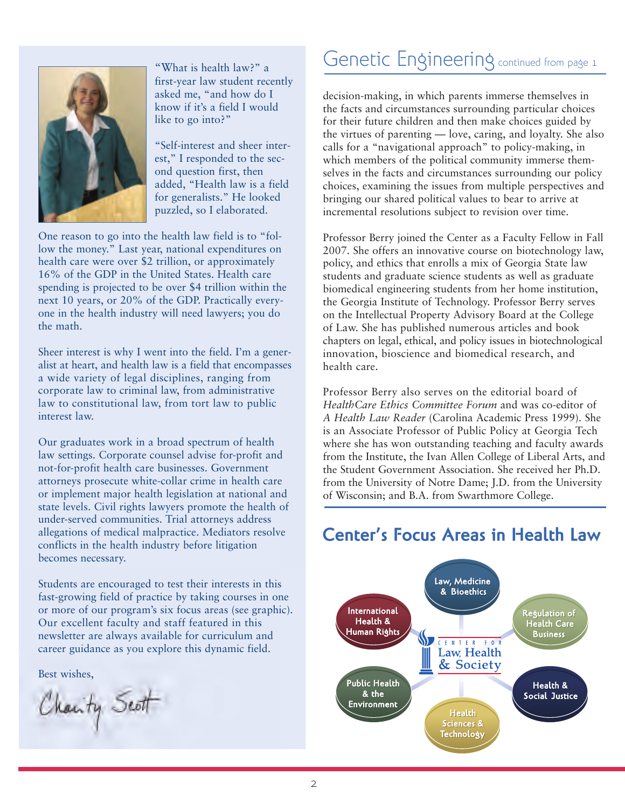

"What is health law?" a first-year law student recently asked me, "and how do I know if it's a field I would like to go into?"

"Self-interest and sheer interest," I responded to the second question first, then added, "Health law is a field for generalists." He looked puzzled, so I elaborated.

One reason to go into the health law field is to "follow the money." Last year, national expenditures on health care were over \$2 trillion, or approximately 16% of the GDP in the United States. Health care spending is projected to be over \$4 trillion within the next 10 years, or 20% of the GDP. Practically everyone in the health industry will need lawyers; you do the math.

Sheer interest is why I went into the field. I'm a generalist at heart, and health law is a field that encompasses a wide variety of legal disciplines, ranging from corporate law to criminal law, from administrative law to constitutional law, from tort law to public interest law.

Our graduates work in a broad spectrum of health law settings. Corporate counsel advise for-profit and not-for-profit health care businesses. Government attorneys prosecute white-collar crime in health care or implement major health legislation at national and state levels. Civil rights lawyers promote the health of under-served communities. Trial attorneys address allegations of medical malpractice. Mediators resolve conflicts in the health industry before litigation becomes necessary.

Students are encouraged to test their interests in this fast-growing field of practice by taking courses in one or more of our program's six focus areas (see graphic). Our excellent faculty and staff featured in this newsletter are always available for curriculum and career guidance as you explore this dynamic field.

Best wishes,

Charity Scott

### Genetic Engineering continued from page 1

decision-making, in which parents immerse themselves in the facts and circumstances surrounding particular choices for their future children and then make choices guided by the virtues of parenting — love, caring, and loyalty. She also calls for a "navigational approach" to policy-making, in which members of the political community immerse themselves in the facts and circumstances surrounding our policy choices, examining the issues from multiple perspectives and bringing our shared political values to bear to arrive at incremental resolutions subject to revision over time.

Professor Berry joined the Center as a Faculty Fellow in Fall 2007. She offers an innovative course on biotechnology law, policy, and ethics that enrolls a mix of Georgia State law students and graduate science students as well as graduate biomedical engineering students from her home institution, the Georgia Institute of Technology. Professor Berry serves on the Intellectual Property Advisory Board at the College of Law. She has published numerous articles and book chapters on legal, ethical, and policy issues in biotechnological innovation, bioscience and biomedical research, and health care.

Professor Berry also serves on the editorial board of *HealthCare Ethics Committee Forum* and was co-editor of *A Health Law Reader* (Carolina Academic Press 1999). She is an Associate Professor of Public Policy at Georgia Tech where she has won outstanding teaching and faculty awards from the Institute, the Ivan Allen College of Liberal Arts, and the Student Government Association. She received her Ph.D. from the University of Notre Dame; J.D. from the University of Wisconsin; and B.A. from Swarthmore College.

### **Center's Focus Areas in Health Law**

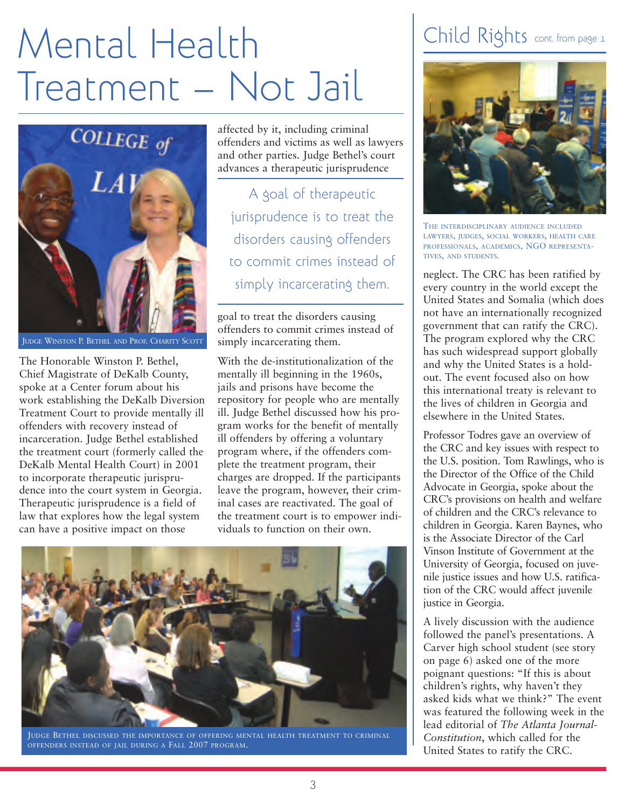# Mental Health Treatment – Not Jail



JUDGE WINSTON P. BETHEL AND PROF. CHARITY SCOTT

The Honorable Winston P. Bethel, Chief Magistrate of DeKalb County, spoke at a Center forum about his work establishing the DeKalb Diversion Treatment Court to provide mentally ill offenders with recovery instead of incarceration. Judge Bethel established the treatment court (formerly called the DeKalb Mental Health Court) in 2001 to incorporate therapeutic jurisprudence into the court system in Georgia. Therapeutic jurisprudence is a field of law that explores how the legal system can have a positive impact on those

affected by it, including criminal offenders and victims as well as lawyers and other parties. Judge Bethel's court advances a therapeutic jurisprudence

A goal of therapeutic jurisprudence is to treat the disorders causing offenders to commit crimes instead of simply incarcerating them.

goal to treat the disorders causing offenders to commit crimes instead of simply incarcerating them.

With the de-institutionalization of the mentally ill beginning in the 1960s, jails and prisons have become the repository for people who are mentally ill. Judge Bethel discussed how his program works for the benefit of mentally ill offenders by offering a voluntary program where, if the offenders complete the treatment program, their charges are dropped. If the participants leave the program, however, their criminal cases are reactivated. The goal of the treatment court is to empower individuals to function on their own.



JUDGE BETHEL DISCUSSED THE IMPORTANCE OF OFFERING MENTAL HEALTH TREATMENT TO CRIMINAL OFFENDERS INSTEAD OF JAIL DURING A FALL 2007 PROGRAM.

## Child Rights cont. from page 1



THE INTERDISCIPLINARY AUDIENCE INCLUDED LAWYERS, JUDGES, SOCIAL WORKERS, HEALTH CARE PROFESSIONALS, ACADEMICS, NGO REPRESENTA-TIVES, AND STUDENTS.

neglect. The CRC has been ratified by every country in the world except the United States and Somalia (which does not have an internationally recognized government that can ratify the CRC). The program explored why the CRC has such widespread support globally and why the United States is a holdout. The event focused also on how this international treaty is relevant to the lives of children in Georgia and elsewhere in the United States.

Professor Todres gave an overview of the CRC and key issues with respect to the U.S. position. Tom Rawlings, who is the Director of the Office of the Child Advocate in Georgia, spoke about the CRC's provisions on health and welfare of children and the CRC's relevance to children in Georgia. Karen Baynes, who is the Associate Director of the Carl Vinson Institute of Government at the University of Georgia, focused on juvenile justice issues and how U.S. ratification of the CRC would affect juvenile justice in Georgia.

A lively discussion with the audience followed the panel's presentations. A Carver high school student (see story on page 6) asked one of the more poignant questions: "If this is about children's rights, why haven't they asked kids what we think?" The event was featured the following week in the lead editorial of *The Atlanta Journal-Constitution*, which called for the United States to ratify the CRC.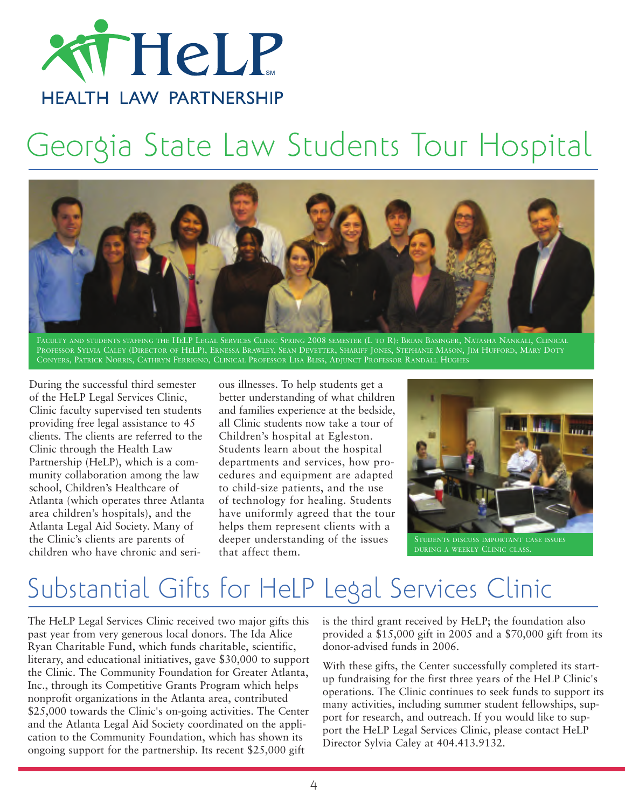

# Georgia State Law Students Tour Hospital



FACULTY AND STUDENTS STAFFING THE HELP LEGAL SERVICES CLINIC SPRING 2008 SEMESTER (L TO R): BRIAN BASINGER, NATASHA NANKALI, CLINICAL PROFESSOR SYLVIA CALEY (DIRECTOR OF HELP), ERNESSA BRAWLEY, SEAN DEVETTER, SHARIFF JONES, STEPHANIE MASON, JIM HUFFORD, MARY DOTY CONYERS, PATRICK NORRIS, CATHRYN FERRIGNO, CLINICAL PROFESSOR LISA BLISS, ADJUNCT PROFESSOR RANDALL HUGHES

During the successful third semester of the HeLP Legal Services Clinic, Clinic faculty supervised ten students providing free legal assistance to 45 clients. The clients are referred to the Clinic through the Health Law Partnership (HeLP), which is a community collaboration among the law school, Children's Healthcare of Atlanta (which operates three Atlanta area children's hospitals), and the Atlanta Legal Aid Society. Many of the Clinic's clients are parents of children who have chronic and serious illnesses. To help students get a better understanding of what children and families experience at the bedside, all Clinic students now take a tour of Children's hospital at Egleston. Students learn about the hospital departments and services, how procedures and equipment are adapted to child-size patients, and the use of technology for healing. Students have uniformly agreed that the tour helps them represent clients with a deeper understanding of the issues that affect them.



STUDENTS DISCUSS IMPORTANT CASE ISSUES

## Substantial Gifts for HeLP Legal Services Clinic

The HeLP Legal Services Clinic received two major gifts this past year from very generous local donors. The Ida Alice Ryan Charitable Fund, which funds charitable, scientific, literary, and educational initiatives, gave \$30,000 to support the Clinic. The Community Foundation for Greater Atlanta, Inc., through its Competitive Grants Program which helps nonprofit organizations in the Atlanta area, contributed \$25,000 towards the Clinic's on-going activities. The Center and the Atlanta Legal Aid Society coordinated on the application to the Community Foundation, which has shown its ongoing support for the partnership. Its recent \$25,000 gift

is the third grant received by HeLP; the foundation also provided a \$15,000 gift in 2005 and a \$70,000 gift from its donor-advised funds in 2006.

With these gifts, the Center successfully completed its startup fundraising for the first three years of the HeLP Clinic's operations. The Clinic continues to seek funds to support its many activities, including summer student fellowships, support for research, and outreach. If you would like to support the HeLP Legal Services Clinic, please contact HeLP Director Sylvia Caley at 404.413.9132.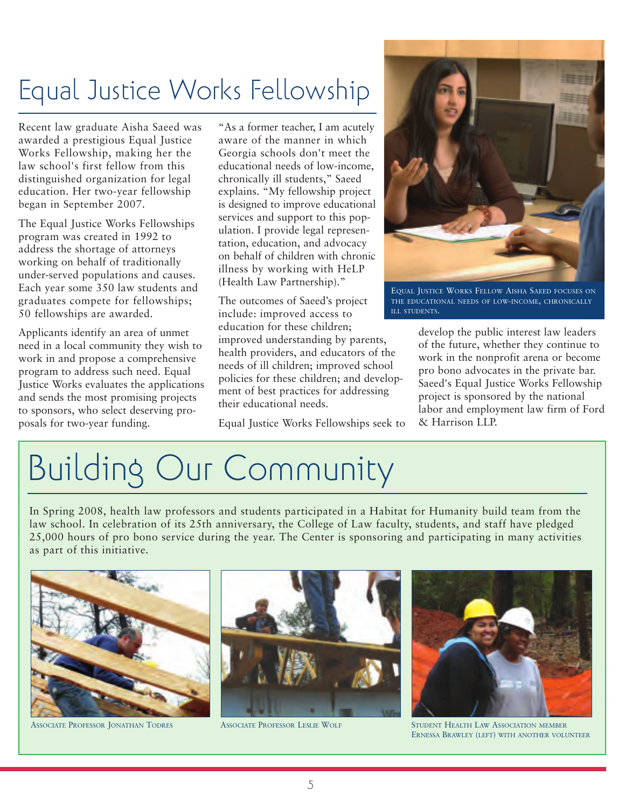## Equal Justice Works Fellowship

Recent law graduate Aisha Saeed was awarded a prestigious Equal Justice Works Fellowship, making her the law school's first fellow from this distinguished organization for legal education. Her two-year fellowship began in September 2007.

The Equal Justice Works Fellowships program was created in 1992 to address the shortage of attorneys working on behalf of traditionally under-served populations and causes. Each year some 350 law students and graduates compete for fellowships; 50 fellowships are awarded.

Applicants identify an area of unmet need in a local community they wish to work in and propose a comprehensive program to address such need. Equal Justice Works evaluates the applications and sends the most promising projects to sponsors, who select deserving proposals for two-year funding.

"As a former teacher, I am acutely aware of the manner in which Georgia schools don't meet the educational needs of low-income, chronically ill students," Saeed explains. "My fellowship project is designed to improve educational services and support to this population. I provide legal representation, education, and advocacy on behalf of children with chronic illness by working with HeLP (Health Law Partnership)."

The outcomes of Saeed's project include: improved access to education for these children; improved understanding by parents, health providers, and educators of the needs of ill children; improved school policies for these children; and development of best practices for addressing their educational needs.

Equal Justice Works Fellowships seek to



EQUAL JUSTICE WORKS FELLOW AISHA SAEED FOCUSES ON THE EDUCATIONAL NEEDS OF LOW-INCOME, CHRONICALLY ILL STUDENTS.

develop the public interest law leaders of the future, whether they continue to work in the nonprofit arena or become pro bono advocates in the private bar. Saeed's Equal Justice Works Fellowship project is sponsored by the national labor and employment law firm of Ford & Harrison LLP.

# Building Our Community

In Spring 2008, health law professors and students participated in a Habitat for Humanity build team from the law school. In celebration of its 25th anniversary, the College of Law faculty, students, and staff have pledged 25,000 hours of pro bono service during the year. The Center is sponsoring and participating in many activities as part of this initiative.







ASSOCIATE PROFESSOR JONATHAN TODRES ASSOCIATE PROFESSOR LESLIE WOLF STUDENT HEALTH LAW ASSOCIATION MEMBER ERNESSA BRAWLEY (LEFT) WITH ANOTHER VOLUNTEER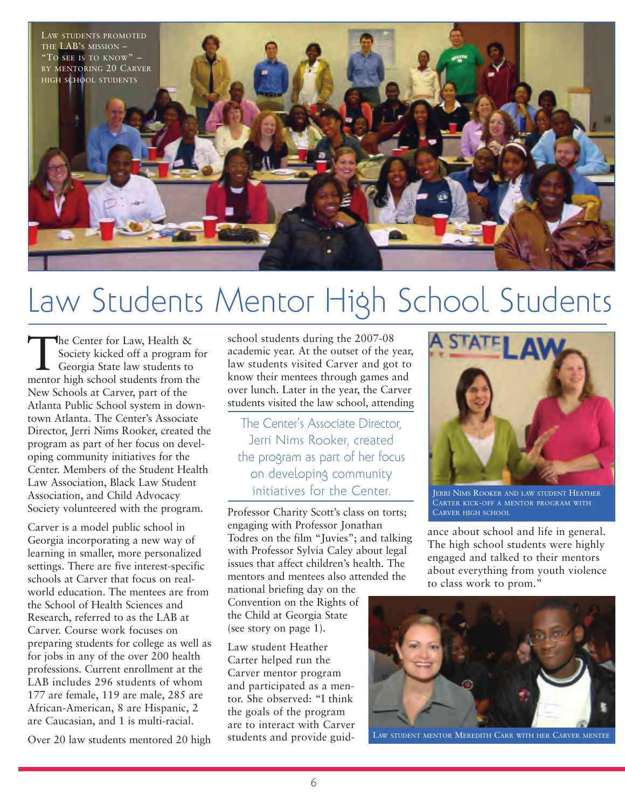

# Law Students Mentor High School Students

The Center for Law, Health &<br>Society kicked off a program<br>Georgia State law students to<br>mentor high school students from the Society kicked off a program for Georgia State law students to mentor high school students from the New Schools at Carver, part of the Atlanta Public School system in downtown Atlanta. The Center's Associate Director, Jerri Nims Rooker, created the program as part of her focus on developing community initiatives for the Center. Members of the Student Health Law Association, Black Law Student Association, and Child Advocacy Society volunteered with the program.

Carver is a model public school in Georgia incorporating a new way of learning in smaller, more personalized settings. There are five interest-specific schools at Carver that focus on realworld education. The mentees are from the School of Health Sciences and Research, referred to as the LAB at Carver. Course work focuses on preparing students for college as well as for jobs in any of the over 200 health professions. Current enrollment at the LAB includes 296 students of whom 177 are female, 119 are male, 285 are African-American, 8 are Hispanic, 2 are Caucasian, and 1 is multi-racial.

Over 20 law students mentored 20 high

school students during the 2007-08 academic year. At the outset of the year, law students visited Carver and got to know their mentees through games and over lunch. Later in the year, the Carver students visited the law school, attending

The Center's Associate Director, Jerri Nims Rooker, created the program as part of her focus on developing community initiatives for the Center.

Professor Charity Scott's class on torts; engaging with Professor Jonathan Todres on the film "Juvies"; and talking with Professor Sylvia Caley about legal issues that affect children's health. The mentors and mentees also attended the

national briefing day on the Convention on the Rights of the Child at Georgia State (see story on page 1).

Law student Heather Carter helped run the Carver mentor program and participated as a mentor. She observed: "I think the goals of the program are to interact with Carver students and provide guid-



JERRI NIMS ROOKER AND LAW STUDENT HEATHER CARTER KICK-OFF A MENTOR PROGRAM WITH CARVER HIGH SCHOOL

ance about school and life in general. The high school students were highly engaged and talked to their mentors about everything from youth violence to class work to prom."



LAW STUDENT MENTOR MEREDITH CARR WITH HER CARVER MENTEE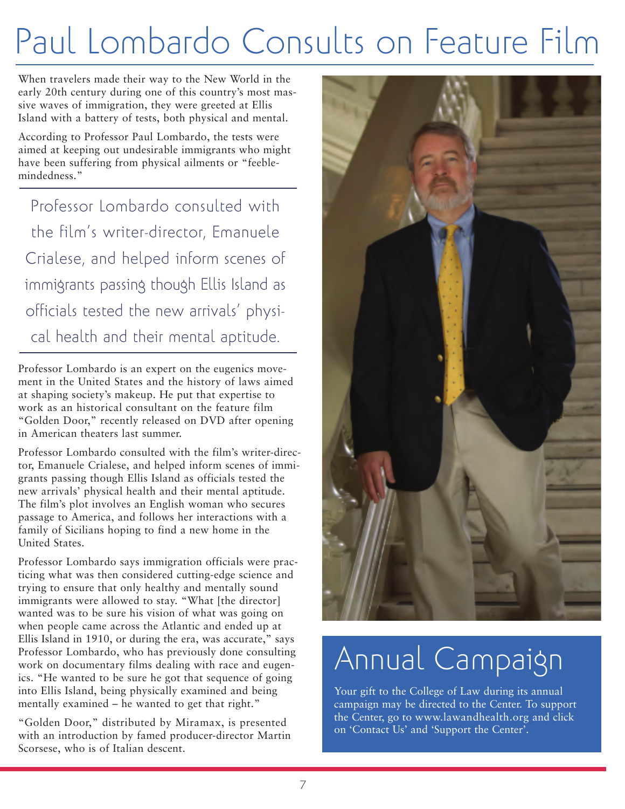# Paul Lombardo Consults on Feature Film

When travelers made their way to the New World in the early 20th century during one of this country's most massive waves of immigration, they were greeted at Ellis Island with a battery of tests, both physical and mental.

According to Professor Paul Lombardo, the tests were aimed at keeping out undesirable immigrants who might have been suffering from physical ailments or "feeblemindedness."

Professor Lombardo consulted with the film's writer-director, Emanuele Crialese, and helped inform scenes of immigrants passing though Ellis Island as officials tested the new arrivals' physical health and their mental aptitude.

Professor Lombardo is an expert on the eugenics movement in the United States and the history of laws aimed at shaping society's makeup. He put that expertise to work as an historical consultant on the feature film "Golden Door," recently released on DVD after opening in American theaters last summer.

Professor Lombardo consulted with the film's writer-director, Emanuele Crialese, and helped inform scenes of immigrants passing though Ellis Island as officials tested the new arrivals' physical health and their mental aptitude. The film's plot involves an English woman who secures passage to America, and follows her interactions with a family of Sicilians hoping to find a new home in the United States.

Professor Lombardo says immigration officials were practicing what was then considered cutting-edge science and trying to ensure that only healthy and mentally sound immigrants were allowed to stay. "What [the director] wanted was to be sure his vision of what was going on when people came across the Atlantic and ended up at Ellis Island in 1910, or during the era, was accurate," says Professor Lombardo, who has previously done consulting work on documentary films dealing with race and eugenics. "He wanted to be sure he got that sequence of going into Ellis Island, being physically examined and being mentally examined – he wanted to get that right."

"Golden Door," distributed by Miramax, is presented with an introduction by famed producer-director Martin Scorsese, who is of Italian descent.



# Annual Campaign

Your gift to the College of Law during its annual campaign may be directed to the Center. To support the Center, go to www.lawandhealth.org and click on 'Contact Us' and 'Support the Center'.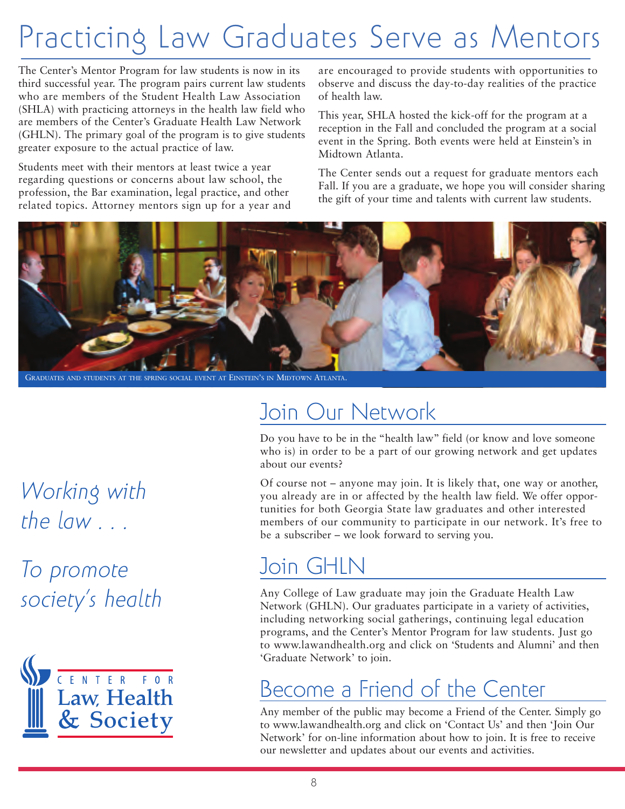# Practicing Law Graduates Serve as Mentors

The Center's Mentor Program for law students is now in its third successful year. The program pairs current law students who are members of the Student Health Law Association (SHLA) with practicing attorneys in the health law field who are members of the Center's Graduate Health Law Network (GHLN). The primary goal of the program is to give students greater exposure to the actual practice of law.

Students meet with their mentors at least twice a year regarding questions or concerns about law school, the profession, the Bar examination, legal practice, and other related topics. Attorney mentors sign up for a year and are encouraged to provide students with opportunities to observe and discuss the day-to-day realities of the practice of health law.

This year, SHLA hosted the kick-off for the program at a reception in the Fall and concluded the program at a social event in the Spring. Both events were held at Einstein's in Midtown Atlanta.

The Center sends out a request for graduate mentors each Fall. If you are a graduate, we hope you will consider sharing the gift of your time and talents with current law students.



GRADUATES AND STUDENTS AT THE SPRING SOCIAL EVENT AT EINSTEIN'S IN MIDTOWN ATLANTA.

## *Working with the law . . .*

*To promote society's health*



## Join Our Network

Do you have to be in the "health law" field (or know and love someone who is) in order to be a part of our growing network and get updates about our events?

Of course not – anyone may join. It is likely that, one way or another, you already are in or affected by the health law field. We offer opportunities for both Georgia State law graduates and other interested members of our community to participate in our network. It's free to be a subscriber – we look forward to serving you.

## Join GHLN

Any College of Law graduate may join the Graduate Health Law Network (GHLN). Our graduates participate in a variety of activities, including networking social gatherings, continuing legal education programs, and the Center's Mentor Program for law students. Just go to www.lawandhealth.org and click on 'Students and Alumni' and then 'Graduate Network' to join.

## Become a Friend of the Center

Any member of the public may become a Friend of the Center. Simply go to www.lawandhealth.org and click on 'Contact Us' and then 'Join Our Network' for on-line information about how to join. It is free to receive our newsletter and updates about our events and activities.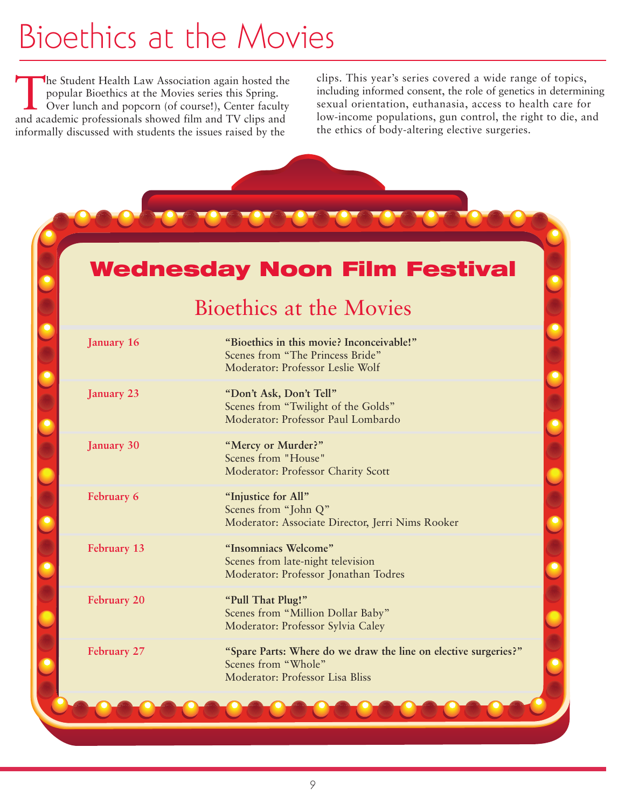# Bioethics at the Movies

The Student Health Law Association again hosted the<br>popular Bioethics at the Movies series this Spring.<br>Over lunch and popcorn (of course!), Center faculty<br>and academic professionals showed film and TV clins and popular Bioethics at the Movies series this Spring. Over lunch and popcorn (of course!), Center faculty and academic professionals showed film and TV clips and informally discussed with students the issues raised by the

clips. This year's series covered a wide range of topics, including informed consent, the role of genetics in determining sexual orientation, euthanasia, access to health care for low-income populations, gun control, the right to die, and the ethics of body-altering elective surgeries.

### **Wednesday Noon Film Festival**

### Bioethics at the Movies

| January 16  | "Bioethics in this movie? Inconceivable!"<br>Scenes from "The Princess Bride"<br>Moderator: Professor Leslie Wolf         |
|-------------|---------------------------------------------------------------------------------------------------------------------------|
| January 23  | "Don't Ask, Don't Tell"<br>Scenes from "Twilight of the Golds"<br>Moderator: Professor Paul Lombardo                      |
| January 30  | "Mercy or Murder?"<br>Scenes from "House"<br>Moderator: Professor Charity Scott                                           |
| February 6  | "Injustice for All"<br>Scenes from "John Q"<br>Moderator: Associate Director, Jerri Nims Rooker                           |
| February 13 | "Insomniacs Welcome"<br>Scenes from late-night television<br>Moderator: Professor Jonathan Todres                         |
| February 20 | "Pull That Plug!"<br>Scenes from "Million Dollar Baby"<br>Moderator: Professor Sylvia Caley                               |
| February 27 | "Spare Parts: Where do we draw the line on elective surgeries?"<br>Scenes from "Whole"<br>Moderator: Professor Lisa Bliss |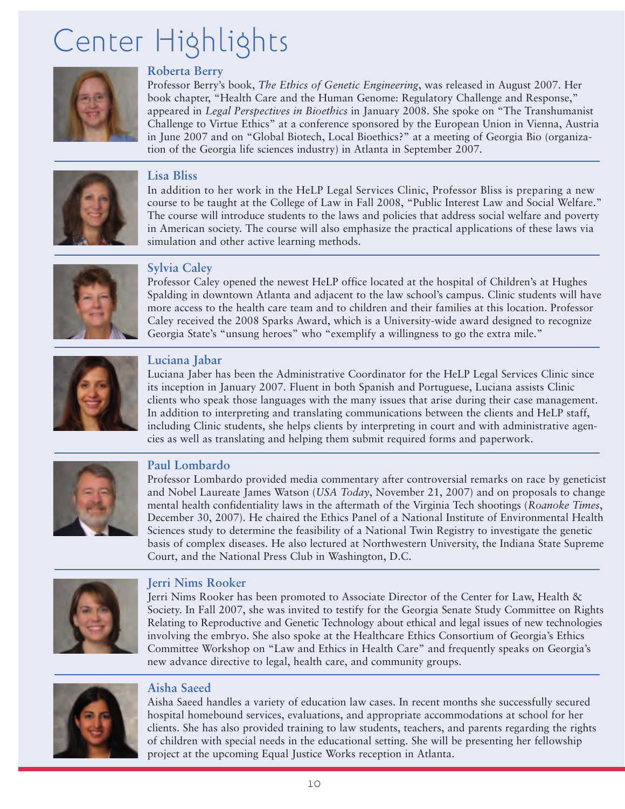# Center Highlights



### **Roberta Berry**

Professor Berry's book, *The Ethics of Genetic Engineering*, was released in August 2007. Her book chapter, "Health Care and the Human Genome: Regulatory Challenge and Response," appeared in *Legal Perspectives in Bioethics* in January 2008. She spoke on "The Transhumanist Challenge to Virtue Ethics" at a conference sponsored by the European Union in Vienna, Austria in June 2007 and on "Global Biotech, Local Bioethics?" at a meeting of Georgia Bio (organization of the Georgia life sciences industry) in Atlanta in September 2007.



#### **Lisa Bliss**

In addition to her work in the HeLP Legal Services Clinic, Professor Bliss is preparing a new course to be taught at the College of Law in Fall 2008, "Public Interest Law and Social Welfare." The course will introduce students to the laws and policies that address social welfare and poverty in American society. The course will also emphasize the practical applications of these laws via simulation and other active learning methods.



### **Sylvia Caley**

Professor Caley opened the newest HeLP office located at the hospital of Children's at Hughes Spalding in downtown Atlanta and adjacent to the law school's campus. Clinic students will have more access to the health care team and to children and their families at this location. Professor Caley received the 2008 Sparks Award, which is a University-wide award designed to recognize Georgia State's "unsung heroes" who "exemplify a willingness to go the extra mile."



### **Luciana Jabar**

Luciana Jaber has been the Administrative Coordinator for the HeLP Legal Services Clinic since its inception in January 2007. Fluent in both Spanish and Portuguese, Luciana assists Clinic clients who speak those languages with the many issues that arise during their case management. In addition to interpreting and translating communications between the clients and HeLP staff, including Clinic students, she helps clients by interpreting in court and with administrative agencies as well as translating and helping them submit required forms and paperwork.



#### **Paul Lombardo**

Professor Lombardo provided media commentary after controversial remarks on race by geneticist and Nobel Laureate James Watson (*USA Today*, November 21, 2007) and on proposals to change mental health confidentiality laws in the aftermath of the Virginia Tech shootings (*Roanoke Times*, December 30, 2007). He chaired the Ethics Panel of a National Institute of Environmental Health Sciences study to determine the feasibility of a National Twin Registry to investigate the genetic basis of complex diseases. He also lectured at Northwestern University, the Indiana State Supreme Court, and the National Press Club in Washington, D.C.



#### **Jerri Nims Rooker**

Jerri Nims Rooker has been promoted to Associate Director of the Center for Law, Health & Society. In Fall 2007, she was invited to testify for the Georgia Senate Study Committee on Rights Relating to Reproductive and Genetic Technology about ethical and legal issues of new technologies involving the embryo. She also spoke at the Healthcare Ethics Consortium of Georgia's Ethics Committee Workshop on "Law and Ethics in Health Care" and frequently speaks on Georgia's new advance directive to legal, health care, and community groups.



### **Aisha Saeed**

Aisha Saeed handles a variety of education law cases. In recent months she successfully secured hospital homebound services, evaluations, and appropriate accommodations at school for her clients. She has also provided training to law students, teachers, and parents regarding the rights of children with special needs in the educational setting. She will be presenting her fellowship project at the upcoming Equal Justice Works reception in Atlanta.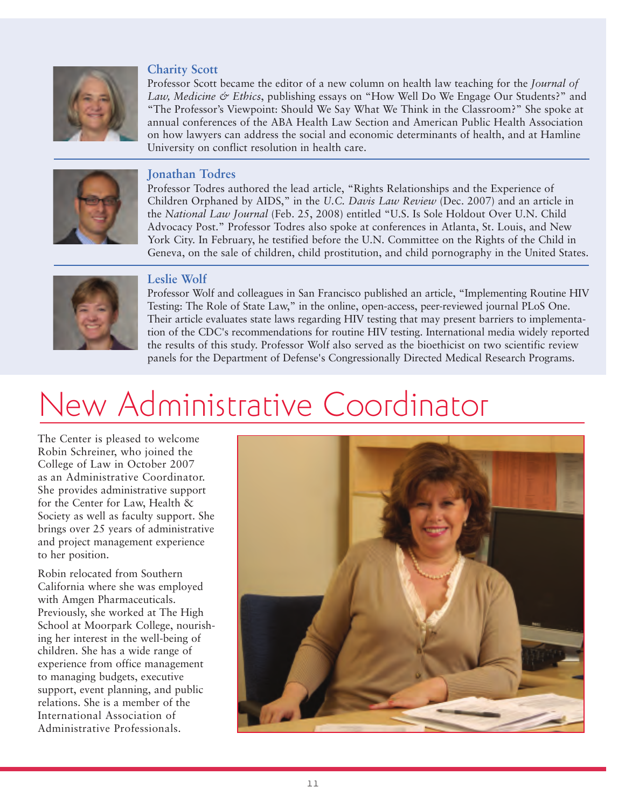

#### **Charity Scott**

Professor Scott became the editor of a new column on health law teaching for the *Journal of Law, Medicine & Ethics*, publishing essays on "How Well Do We Engage Our Students?" and "The Professor's Viewpoint: Should We Say What We Think in the Classroom?" She spoke at annual conferences of the ABA Health Law Section and American Public Health Association on how lawyers can address the social and economic determinants of health, and at Hamline University on conflict resolution in health care.



### **Jonathan Todres**

Professor Todres authored the lead article, "Rights Relationships and the Experience of Children Orphaned by AIDS," in the *U.C. Davis Law Review* (Dec. 2007) and an article in the *National Law Journal* (Feb. 25, 2008) entitled "U.S. Is Sole Holdout Over U.N. Child Advocacy Post." Professor Todres also spoke at conferences in Atlanta, St. Louis, and New York City. In February, he testified before the U.N. Committee on the Rights of the Child in Geneva, on the sale of children, child prostitution, and child pornography in the United States.



#### **Leslie Wolf**

Professor Wolf and colleagues in San Francisco published an article, "Implementing Routine HIV Testing: The Role of State Law," in the online, open-access, peer-reviewed journal PLoS One. Their article evaluates state laws regarding HIV testing that may present barriers to implementation of the CDC's recommendations for routine HIV testing. International media widely reported the results of this study. Professor Wolf also served as the bioethicist on two scientific review panels for the Department of Defense's Congressionally Directed Medical Research Programs.

# New Administrative Coordinator

The Center is pleased to welcome Robin Schreiner, who joined the College of Law in October 2007 as an Administrative Coordinator. She provides administrative support for the Center for Law, Health & Society as well as faculty support. She brings over 25 years of administrative and project management experience to her position.

Robin relocated from Southern California where she was employed with Amgen Pharmaceuticals. Previously, she worked at The High School at Moorpark College, nourishing her interest in the well-being of children. She has a wide range of experience from office management to managing budgets, executive support, event planning, and public relations. She is a member of the International Association of Administrative Professionals.